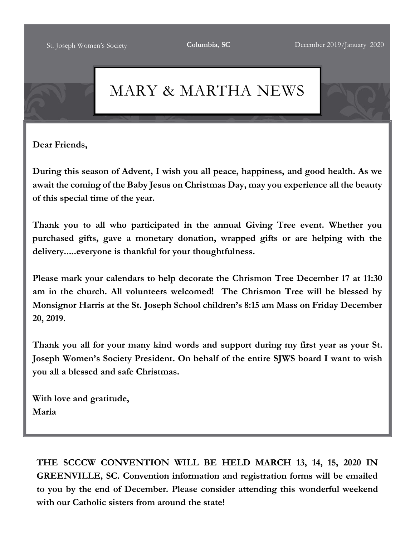# MARY & MARTHA NEWS

**Dear Friends,**

**During this season of Advent, I wish you all peace, happiness, and good health. As we await the coming of the Baby Jesus on Christmas Day, may you experience all the beauty of this special time of the year.**

**Thank you to all who participated in the annual Giving Tree event. Whether you purchased gifts, gave a monetary donation, wrapped gifts or are helping with the delivery.....everyone is thankful for your thoughtfulness.**

**Please mark your calendars to help decorate the Chrismon Tree December 17 at 11:30 am in the church. All volunteers welcomed! The Chrismon Tree will be blessed by Monsignor Harris at the St. Joseph School children's 8:15 am Mass on Friday December 20, 2019.**

**Thank you all for your many kind words and support during my first year as your St. Joseph Women's Society President. On behalf of the entire SJWS board I want to wish you all a blessed and safe Christmas.**

**With love and gratitude, Maria**

**THE SCCCW CONVENTION WILL BE HELD MARCH 13, 14, 15, 2020 IN GREENVILLE, SC. Convention information and registration forms will be emailed to you by the end of December. Please consider attending this wonderful weekend with our Catholic sisters from around the state!**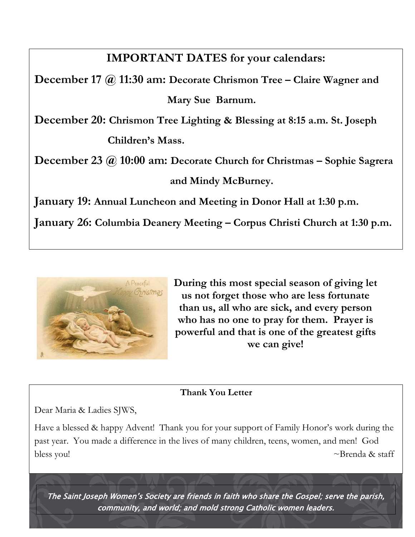# **IMPORTANT DATES for your calendars:**

**December 17 @ 11:30 am: Decorate Chrismon Tree – Claire Wagner and Mary Sue Barnum.**

**December 20: Chrismon Tree Lighting & Blessing at 8:15 a.m. St. Joseph Children's Mass.**

**December 23 @ 10:00 am: Decorate Church for Christmas – Sophie Sagrera and Mindy McBurney.**

**January 19: Annual Luncheon and Meeting in Donor Hall at 1:30 p.m.**

**January 26: Columbia Deanery Meeting – Corpus Christi Church at 1:30 p.m.**



**During this most special season of giving let us not forget those who are less fortunate than us, all who are sick, and every person who has no one to pray for them. Prayer is powerful and that is one of the greatest gifts we can give!**

#### **Thank You Letter**

Dear Maria & Ladies SJWS,

Have a blessed & happy Advent! Thank you for your support of Family Honor's work during the past year. You made a difference in the lives of many children, teens, women, and men! God bless you!  $\sim$ Brenda & staff

The Saint Joseph Women's Society are friends in faith who share the Gospel; serve the parish, community, and world; and mold strong Catholic women leaders.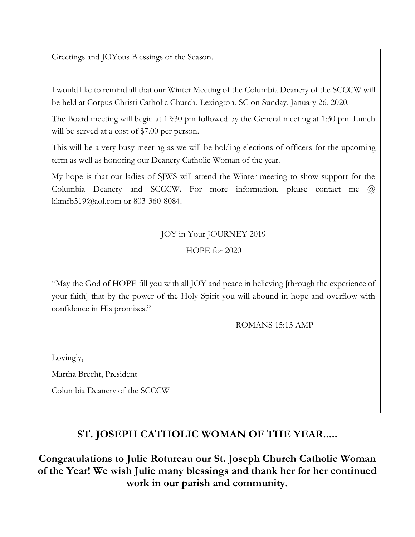Greetings and JOYous Blessings of the Season.

I would like to remind all that our Winter Meeting of the Columbia Deanery of the SCCCW will be held at Corpus Christi Catholic Church, Lexington, SC on Sunday, January 26, 2020.

The Board meeting will begin at 12:30 pm followed by the General meeting at 1:30 pm. Lunch will be served at a cost of \$7.00 per person.

This will be a very busy meeting as we will be holding elections of officers for the upcoming term as well as honoring our Deanery Catholic Woman of the year.

My hope is that our ladies of SJWS will attend the Winter meeting to show support for the Columbia Deanery and SCCCW. For more information, please contact me @ kkmfb519@aol.com or 803-360-8084.

#### JOY in Your JOURNEY 2019

#### HOPE for 2020

"May the God of HOPE fill you with all JOY and peace in believing [through the experience of your faith] that by the power of the Holy Spirit you will abound in hope and overflow with confidence in His promises."

ROMANS 15:13 AMP

Lovingly,

Martha Brecht, President

Columbia Deanery of the SCCCW

## **ST. JOSEPH CATHOLIC WOMAN OF THE YEAR.....**

**Congratulations to Julie Rotureau our St. Joseph Church Catholic Woman of the Year! We wish Julie many blessings and thank her for her continued work in our parish and community.**